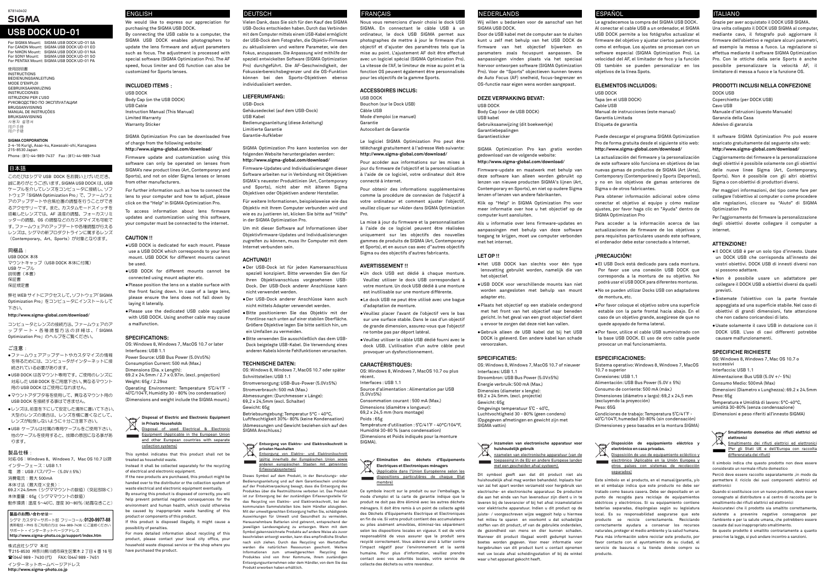For SIGMA Mount: SIGMA USB DOCK UD-01 SA For CANON Mount: SIGMA USB DOCK UD-01 EO For NIKON Mount: SIGMA USB DOCK UD-01 NA For SONY Mount: SIGMA USB DOCK UD-01 SO For PENTAX Mount: SIGMA USB DOCK UD-01 PA

使用説明書

**INSTRUCTIONS** BEDIENUNGSANLEITUNG MODE D'EMPLOI GEBRUIKSAANWIJZING INSTRUCCIONES ISTRUZIONI PER L'USO PУК OВOДCТВO ПO ЭКСПЛУАТАЦИИ BRUGSANVISNING MANUAL DE INSTRUÇÕES BRUKSANVISNING 사용자 설명서 用戶手冊 用户手册

## **SIGMA CORPORATION**

 2-4-16 Kurigi, Asao-ku, Kawasaki-shi, Kanagawa 215-8530 Japan

Phone : (81)-44-989-7437 Fax : (81)-44-989-7448

## 日本語

●ファームウェアアップデートやカスタマイズの情報 を得るためには、コンピュータがインターネットに接続されている必要があります。

このたびはシグマ USB DOCK をお買い上げいただき、 誠にありがとうございます。SIGMA USB DOCK は、USB ケーブルを介してレンズをコンピュータに接続し、ソフトウェア「SIGMA Optimization Pro」で、ファームウェ アのアップデートや合焦位置の調整を行うことができ るアクセサリーです。また、カスタムモードスイッチを 搭載したレンズでは、AF 速度の調整、フォーカスリミ ッターの調整、OS の調整などのカスタマイズも可能です。ファームウェアのアップデートや各種調整が行えるレンズは、シグマの新プロダクトラインに属するレンズ(Contemporary、Art、Sports)が対象となります。

## 同梱品:

 USB DOCK 本体 マウントキャップ(USB DOCK 本体に付属) USB ケーブル 説明書(本書)保証書

## 保証規定書

弊社 WEB サイトにアクセスして、ソフトウェア「SIGMA Optimization Pro」をコンピュータにインストールして 下さい。

## **http://www.sigma-global.com/download/**

コンピュータとレンズの接続方法、ファームウェアのアップデート・各種調整方法の詳細は、「 SIGMA Optimization Pro」のヘルプをご覧ください。

## ご注意:

- ●USB DOCK は各マウント専用です。ご使用のレンズに 対応した USB DOCK をご用意下さい。異なるマウント 用の USB DOCK はご使用になれません。
- ●マウントアダプタ等を使用して、異なるマウント用のUSB DOCK を接続する事はできません。
- ●レンズは、前面を下にして安定した場所に置いて下さい。大型のレンズの場合は、レンズを横に置くなどして、レンズが転倒しないように十分ご注意下さい。

●USB ケーブルは付属の専用ケーブルをご使用下さい。 他のケーブルを使用すると、故障の原因になる事があ ります。

## 製品仕様:

対応 OS:Windows 8、Windows 7、Mac OS 10.7 以降 インターフェース:USB 1.1

電 源:USB バスパワー(5.0V ±5%)

消費電流:最大 500mA

本体寸法(最大径×全長)

 69.2 ×24.5mm(シグママウントの数値)(突起部除く)本体重量:65g(シグママウントの数値)

動作環境 : 温度 5〜40℃、湿度 30〜80% (結露なきこと)

## 製品のお問い合わせは…

シグマ カスタマーサポート部 フリーコール: **0120-9977-88** 携帯電話・PHS をご利用の方は 044-989-7436 にご連絡くださいサポート・インターネットページアドレス**http://www.sigma-photo.co.jp/support/index.htm**

OS: Windows 8, Windows 7, MacOS 10.7 or later Interfaces: USB 1.1

## 株式会社シグマ 本社

〒215-8530 神奈川県川崎市麻生区栗木 2 丁目 4 番 16 号(044) 989 - 7430 ( 代) FAX: (044) 989 - 7451 インターネットホームページアドレス**http://www.sigma-photo.co.jp**

## ENGLISH

We would like to express our appreciation for purchasing the SIGMA USB DOCK.

**Equipment (Applicable in the European Union** and other European countries with separate collection systems)

By connecting the USB cable to a computer, the SIGMA USB DOCK enables photographers to update the lens firmware and adjust parameters such as focus. The adjustment is processed with special software (SIGMA Optimization Pro). The AF speed, focus limiter and OS function can also be customized for Sports lenses.

## **INCLUDED ITEMS**:

USB DOCK Body Cap (on the USB DOCK) USB Cable Instruction Manual (This Manual) Limited Warranty Warranty Sticker

## SIGMA Optimization Pro can be downloaded free of charge from the following website: **http://www.sigma-global.com/download/**

Firmware update and customization using this software can only be operated on lenses from SIGMA's new product lines (Art, Contemporary and Sports), and not on older Sigma lenses or lenses from other manufacturers.

For further information such as how to connect the lens to your computer and how to adjust, please click on the "Help" in SIGMA Optimization Pro.

To access information about lens firmware updates and customization using this software, your computer must be connected to the internet.

## **CAUTION !!**

- ●USB DOCK is dedicated for each mount. Please use a USB DOCK which corresponds to your lens mount. USB DOCK for different mounts cannot be used.
- ●USB DOCK for different mounts cannot be connected using mount adapter etc.
- ●Please position the lens on a stable surface with the front facing down. In case of a large lens, please ensure the lens does not fall down by laying it laterally.
- ●Please use the dedicated USB cable supplied with USB DOCK. Using another cable may cause a malfunction.

## **SPECIFICATIONS:**

Power Source: USB Bus Power (5.0V±5%) Consumption Current: 500 mA (Max.)

Dimensions (Dia. x Length): 69.2 x 24.5mm / 2.7 x 0.97in. (excl. projection)

Weight: 65g / 2.29oz Operating Environment: Temperature 5˚C/41˚F -

40˚C/104˚F, Humidity 30 - 80% (no condensation) (Dimensions and weight include the SIGMA mount.)

**Disposal of Electric and Electronic Equipment in Private Households**  $\triangle$ Disposal of used Electrical & Electronic

This symbol indicates that this product shall not be treated as household waste.

Instead it shall be collected separately for the recycling of electrical and electronic equipment.

If the new products are purchased, this product might be handed over to the distributor or the collection system of waste electrical and electronic equipment eventually.

By ensuring this product is disposed of correctly, you will help prevent potential negative consequences for the environment and human health, which could otherwise be caused by inappropriate waste handling of this

product or components of this product. If this product is disposed illegally, it might cause a

possibility of penalties. For more detailed information about recycling of this product, please contact your local city office, your household waste disposal service or the shop where you have purchased the product.

## **DEUTSCH**

Vielen Dank, dass Sie sich für den Kauf des SIGMA USB-Docks entschieden haben. Durch das Verbinden mit dem Computer mittels einem USB-Kabel ermöglicht der USB-Dock dem Fotografen, die Objektiv-Firmware zu aktualisieren und weitere Parameter, wie den Fokus, anzupassen. Die Anpassung wird mithilfe der speziell entwickelten Software (SIGMA Optimization Pro) durchgeführt. Die AF-Geschwindigkeit, der Fokussierbereichsbegrenzer und die OS-Funktion können bei den Sports-Objektiven ebenso individualisiert werden.

## **LIEFERUMFANG:**

USB-Dock Gehäusedeckel (auf dem USB-Dock) USB Kabel Bedienungsanleitung (diese Anleitung) Limitierte Garantie Garantie-Aufkleber

SIGMA Optimization Pro kann kostenlos von der folgenden Website heruntergeladen werden: **http://www.sigma-global.com/download/**

Firmware-Updates und Individualisierungen dieser Software arbeiten nur in Verbindung mit Objektiven SIGMA's neuester Produktlinien (Art, Contemporary und Sports), nicht aber mit älteren Sigma Objektiven oder Objektiven anderer Hersteller.

Für weitere Informationen, beispielsweise wie das Objektiv mit Ihrem Computer verbunden wird und wie es zu justieren ist, klicken Sie bitte auf "Hilfe" in der SIGMA Optimization Pro.

Um mit dieser Software auf Informationen über Objektivfirmware-Updates und Individualisierungen zugreifen zu können, muss Ihr Computer mit dem Internet verbunden sein.

## **ACHTUNG!!**

- ●Der USB-Dock ist für jeden Kameraanschluss speziell konzipiert. Bitte verwenden Sie den für Ihren Objektivanschluss vorgesehenen USB-Dock. Der USB-Dock anderer Anschlüsse kann nicht verwendet werden.
- ●Der USB-Dock anderer Anschlüsse kann auch nicht mittels Adapter verwendet werden.
- ●Bitte positionieren Sie das Objektiv mit der Frontlinse nach unten auf einer stabilen Oberfläche. Größere Objektive legen Sie bitte seitlich hin, um
- ein Umfallen zu vermeiden. ●Bitte verwenden Sie ausschließlich das dem USB-

Dock beigelegte USB-Kabel. Die Verwendung eines anderen Kabels könnte Fehlfunktionen verursachen.

## **TECHNISCHE DATEN:**

## **Inzamelen van electronische apparatuur voor**<br> **Investigate in the set of the set of the set of the set of the set of the set of the set of the set of the set of the set of the set of the set of the set of the set of the s huishoudelijk gebruik**

OS: Windows 8, Windows 7, MacOS 10.7 oder später Schnittstellen: USB 1.1

> 16 nzamelen van electronische apparatuur (van de toepassing in de EU en andere Europese landen met een gescheiden afval systeem).

Stromversorgung: USB-Bus-Power (5.0V±5%)

Stromverbrauch: 500 mA (Max.) Abmessungen: (Durchmesser x Länge):

69,2 x 24,5mm (excl. Schalter)

Gewicht: 65g

Betriebsumgebung: Temperatur 5°C - 40°C, Luftfeuchtigkeit 30%- 80% (keine Kondensation) (Abmessungen und Gewicht beziehen sich auf den SIGMA Anschluss.)

**Entsorgung von Elektro- und Elektronikschrott in** 

- **privaten Haushalten**  Entsorgung von Elektro- und Elektronikschrott
- (gültig innerhalb der Europäischen Union sowie anderen europäischen Staaten mit getrennten Erfassungssystemen)

Dieses Symbol auf dem Produkt, in der Benutzungs- oder Bedienungsanleitung und auf dem Garantieschein und/oder auf der Produktverpackung besagt, dass die Entsorgung des Produktes über die Restmülltonne verboten ist. Das Produkt ist zur Entsorgung bei der zuständigen Erfassungsstelle für das Recycling von Elektro- und Elektronikschrott, bei den imunalen Sammelstellen bzw. beim Händler abzugeber Mit der umweltgerechten Entsorgung helfen Sie, schädigende Auswirkungen für Umwelt und Gesundheit zu vermeiden. Herausnehmbare Batterien sind getrennt, entsprechend der jeweiligen Landesregelung zu entsorgen. Wenn mit dem Symbol gekennzeichnete Produkte auf andere Weise als zuvo beschrieben entsorgt werden, kann dies empfindliche Strafen nach sich ziehen. Durch das Recycling von Wertstoffen werden die natürlichen Ressourcen geschont. Weitere Informationen zum umweltgerechten Recycling des Produktes sind von Ihrer Kommune, Ihrem zuständigen Entsorgungsunternehmen oder dem Händler, von dem Sie das Produkt erworben haben erhältlich.

## FRANÇAIS

Nous vous remercions d'avoir choisi le dock USB SIGMA. En connectant le câble USB à un ordinateur, le dock USB SIGMA permet aux photographes de mettre à jour le firmware d'un objectif et d'ajuster des paramètres tels que la mise au point. L'ajustement AF doit être effectué avec un logiciel spécial (SIGMA Optimization Pro). La vitesse de l'AF, le limiteur de mise au point et la fonction OS peuvent également être personnalisés pour les objectifs de la gamme Sports.

## **ACCESSOIRES INCLUS:**

USB DOCK Bouchon (sur le Dock USB) Câble USB Mode d'emploi (ce manuel) Garantie Autocollant de Garantie

Le logiciel SIGMA Optimization Pro peut être téléchargé gratuitement à l'adresse Web suivante: **http://www.sigma-global.com/download/**

Pour accéder aux informations sur les mises à jour du firmware de l'objectif et la personnalisation à l'aide de ce logiciel, votre ordinateur doit être connecté à internet.

Pour obtenir des informations supplémentaires comme la procédure de connexion de l'objectif à votre ordinateur et comment ajuster l'objectif, veuillez cliquer sur «Aide» dans SIGMA Optimization Pro.

La mise à jour du firmware et la personnalisation à l'aide de ce logiciel peuvent être réalisées uniquement sur les objectifs des nouvelles gammes de produits de SIGMA (Art, Contemporary et Sports), et en aucun cas avec d''autres objectifs Sigma ou des objectifs d'autres fabricants.

## **AVERTISSEMENT !!**

Temperatura e Umidità di lavoro: 5°C-40°C, umidità 30-80% (senza condensazio

- ●Un dock USB est dédié à chaque monture. Veuillez utiliser le dock USB correspondant à votre monture. Un dock USB dédié à une monture est inutilisable sur une monture différente.
- ●Le dock USB ne peut être utilisé avec une bague d'adaptation de monture.
- ●Veuillez placer l'avant de l'objectif vers le bas sur une surface stable. Dans le cas d'un objectif de grande dimension, assurez-vous que l'objectif ne tombe pas par déport latéral.
- ●Veuillez utiliser le câble USB dédié fourni avec le dock USB. L'utilisation d'un autre câble peut provoquer un dysfonctionnement.

## **CARACTÉRISTIQUES:**

OS: Windows 8, Windows 7, MacOS 10.7 ou plus

récent.

Interfaces : USB 1.1

Source d'alimentation : Alimentation par USB

(5.0V±5%)

Consommation courant : 500 mA (Max.) Dimensions (diamètre x longueur): 69,2 x 24,5 mm (hors montage)

Poids : 65g

Température d'utilisation : 5˚C/41˚F - 40°C/104°F,

Humidité 30-80 % (sans condensation) (Dimensions et Poids indiqués pour la monture

SIGMA).

**Elimination des déchets d'Equipements Electriques et Electroniques ménagers**   $\overleftrightarrow{\phantom{a}}$  (Applicable dans l'Union Européenne selon les dispositions particulières de chaque Etat

membre)

Ce symbole inscrit sur le produit ou sur l'emballage, le mode d'emploi et la carte de garantie indique que le produit ne doit pas être éliminé avec les autres déchets ménagers. Il doit être remis à un point de collecte agréé des Déchets d'Equipements Electrique et Electroniques en fin de vie. Si votre produit contient des accumulateurs ou piles aisément amovibles, éliminez-les séparément selon les dispositions locales en vigueur. Il est de votre responsabilité de vous assurer que le produit sera recyclé correctement. Vous aiderez ainsi à lutter contre l'impact négatif pour l'environnement et la santé humaine. Pour plus d'information, veuillez prendre contact avec vos autorités locales, votre service de

collecte des déchets ou votre revendeur.

## NEDERLANDS

Wij willen u bedanken voor de aanschaf van het SIGMA USB DOCK.

Door de USB kabel met de computer aan te sluiten kunt u zelf met behulp van het USB DOCK de firmware van het objectief bijwerken en paramaters zoals focuspunt aanpassen. De aanpassingen vinden plaats via het speciaal hiervoor ontworpen software (SIGMA Optimization Pro). Voor de "Sports" objectieven kunnen tevens de Auto Focus (AF) snelheid, focus-begrenzer en OS-functie naar eigen wens worden aangepast.

## **DEZE VERPAKKING BEVAT:**

USB DOCK

Body Cap (voor de USB DOCK)

USB kabel

Gebruiksaanwijzing (dit boekwerkje) Garantiebepalingen Garantiesticker

SIGMA Optimization Pro kan gratis worden gedownload van de volgende website: **http://www.sigma-global.com/download/**

Firmware-update en maatwerk met behulp van deze software kan alleen worden gebruikt op lenzen van nieuwe producten SIGMA's lijnen (Art, Contemporary en Sports), en niet op oudere Sigma lenzen of lenzen van andere fabrikanten.

Klik op "Help" in SIGMA Optimization Pro voor meer informatie over hoe u het objectief op de computer kunt aansluiten.

Als u informatie over lens firmware-updates en aanpassingen met behulp van deze software toegang te krijgen, moet uw computer verbonden met het internet.

**LET OP !!** 

●Het USB DOCK kan slechts voor één type lensvatting gebruikt worden, namelijk die van het objectief.

●USB DOCK voor verschillende mounts kan niet worden aangesloten met behulp van mount

adapter etc.

●Plaats het objectief op een stabiele ondergrond met het front van het objectief naar beneden gericht. In het geval van een groot objectief dient u ervoor te zorgen dat deze niet kan vallen.

●Gebruik alleen de USB kabel dat bij het USB DOCK is geleverd. Een andere kabel kan schade

veroorzaken.

## **SPECIFICATIES:**

OS: Windows 8, Windows 7, MacOS 10.7 of nieuwer Interfaces: USB 1.1 Stroombron: USB Bus Power (5.0V±5%)

Energie verbruik: 500 mA (Max.)

Dimensies (diameter x lengte):

69.2 x 24.5mm. (excl. projectie)

Gewicht: 65g

Omgevings temperatuur 5˚C - 40˚C, Luchtvochtigheid 30 - 80% (geen condens) (Opgegeven afmetingen en gewicht zijn met

SIGMA vattin)

Dit symbool geeft aan dat dit product niet als huishoudelijk afval mag worden behandeld. Inplaats hier van zal het apart worden verzameld voor hergebruik van electrische- en electronische apparatuur. De producten die aan het einde van hun levensduur zijn dient u in te leveren bij de leverancier of bij het afval inzamelstation voor elektrische apparatuur. Indien u dit product op de juiste- / voorgeschreven wijze weggooit help u hiermee het milieu te sparen en voorkomt u dat schadelijke stoffen van dit product, of van de gebruikte onderdelen, de gezondheid van mens en dier kunnen schaden. Wanneer dit product illegaal wordt gedumpt kunnen boetes worden gegeven. Voor meer informatie voor hergebruiken van dit product kunt u contact opnemen met uw locale afval scheidingsstation of bij de winkel waar u het apparaat gekocht heeft.

#### ESPAÑOL

Le agradecemos la compra del SIGMA USB DOCK. Al conectar el cable USB a un ordenador, el SIGMA USB DOCK permite a los fotógrafos actualizar el firmware del objetivo y ajustar ciertos parámetros como el enfoque. Los ajustes se procesan con un software especial (SIGMA Optimization Pro). La velocidad del AF, el limitador de foco y la función OS también se pueden personalizar en los objetivos de la línea Spots.

#### **ELEMENTOS INCLUIDOS:**  USB DOCK

Tapa (en el USB DOCK) Cable USB Manual de instrucciones (este manual) Garantía Limitada Etiqueta de garantía

Puede descargar el programa SIGMA Optimization Pro de forma gratuita desde el siguiente sitio web: **http://www.sigma-global.com/download/**

La actualización del firmware y la personalización de este software sólo funciona en objetivos de las nuevas gamas de productos de SIGMA (Art (Arte), Contemporary (Contemporáneo) y Sports (Deportes)), y no en los objetivos de gamas anteriores de Sigma o de otros fabricantes.

Para obtener información adicional sobre cómo conectar el objetivo al equipo y cómo realizar ajustes, por favor haga clic en "Ayuda" dentro de SIGMA Optimization Pro

Para acceder a la información acerca de las actualizaciones de firmware de los objetivos y para requisitos particulares usando este software, el ordenador debe estar conectado a Internet.

## **¡PRECAUCIÓN!**

- ●El USB Dock está dedicado para cada montura. Por favor use una conexión USB DOCK que corresponda a la montura de su objetivo. No podrá usar el USB DOCK para diferentes monturas.
- ●No se pueden utilizar Docks USB con adaptadores de montura, etc.
- ●Por favor coloque el objetivo sobre una superficie estable con la parte frontal hacia abajo. En el caso de un objetivo grande, asegúrese de que no quede apoyado de forma lateral.
- ●Por favor, utilice el cable USB suministrado con la base USB DOCK. El uso de otro cable puede provocar un mal funcionamiento.

## **ESPECIFICACIONES:**

Sistema operativo: Windows 8, Windows 7, MacOS 10.7 o superior Conexiones: USB 1.1 Alimentación: USB Bus Power (5.0V ± 5%) Consumo de corriente: 500 mA (máx.) Dimensiones (diámetro x largo): 69,2 x 24,5 mm (excluyendo la proyección) Peso: 65G

Condiciones de trabajo: Temperatura 5˚C/41˚F - 40˚C/104˚F, humedad 30-80% (sin condensación) (Dimensiones y peso basados en la montura SIGMA)

**Disposición de equipamiento eléctrico y electrónico en casa privadas.** 



Este símbolo en el producto, en el manual/garantía, y/o en el embalaje indica que este producto no debe ser tratado como basura casera. Debe ser depositado en un punto de recogida para reciclaje de equipamientos eléctricos y electrónicos. Si su equipamiento contiene baterías separadas, dispóngalas según su legislatura local. Es su responsabilidad asegurarse que este producto se recicle correctamente. Reciclando correctamente ayudara a conservar los recursos naturales, proteger el medio ambiente y la salud humana. Para más información sobre reciclar este producto, por favor contacte con el ayuntamiento de su ciudad, el servicio de basuras o la tienda donde compro su producto.

## ITALIANO

Grazie per aver acquistato il DOCK USB SIGMA. Una volta collegato il DOCK USB SIGMA al computer, mediante cavo, il fotografo può aggiornare il firmware dell'obiettivo e regolare alcuni parametri, ad esempio la messa a fuoco. La regolazione si effettua mediante il software SIGMA Optimization Pro. Con le ottiche della serie Sports è anche possibile personalizzare la velocità AF, il limitatore di messa a fuoco e la funzione OS.

#### **PRODOTTI INCLUSI NELLA CONFEZIONE**  DOCK USB

Coperchietto (per DOCK USB) Cavo USB Manuale d'istruzioni (questo Manuale) Garanzia della Casa Adesivo di garanzia

Il software SIGMA Optimization Pro può essere scaricato gratuitamente dal seguente sito web: **http://www.sigma-global.com/download/**

L'aggiornamento del firmware e la personalizzazione degli obiettivi è possibile solamente con gli obiettivi delle nuove linee Sigma (Art, Contemporary, Sports). Non è possibile con gli altri obiettivi Sigma o con obiettivi di produttori diversi.

Per maggiori informazioni, del tipo come fare per collegare l'obiettivo al computer o come procedere alle regolazioni, cliccare su "Aiuto" di SIGMA Optimization Pro

Per l'aggiornamento del firmware la personalizzazione degli obiettivi dovete collegare il computer a internet.

## **ATTENZIONE!**

- ●Il DOCK USB è per un solo tipo d'innesto. Usate un DOCK USB che corrisponda all'innesto dei vostri obiettivi. DOCK USB di innesti diversi non si possono adattare.
- ●Non è possibile usare un adattatore per collegare il DOCK USB a obiettivi diversi da quelli previsti.
- ●Sistemate l'obiettivo con la parte frontale appoggiata ad una superficie stabile. Nel caso di obiettivi di grandi dimensioni, fate attenzione che non cadano coricandosi di lato.
- ●Usate solamente il cavo USB in dotazione con il DOCK USB. L'uso di cavi differenti potrebbe causare malfunzionamenti.

#### **SPECIFICHE RICHIESTE**

OS: Windows 8, Windows 7, Mac OS 10.7 o successivi

Interfaccia: USB 1.1

Alimentazione: Bus USB (5.0V +/- 5%)

Consumo Medio: 500mA (Max)

Dimensioni (Diametro x Lunghezza): 69.2 x 24.5mm Peso: 65g

(Dimensioni e peso riferiti all'innesto SIGMA)



**Smaltimento domestico dei rifiuti elettrici ed elettronici**  Smaltimento dei rifiuti elettrici ed elettronici

(Per gli Stati UE e dell'Europa con raccolta differenziata dei rifiuti)

Il simbolo indica che questo prodotto non deve essere considerato un normale rifiuto domestico

Perciò deve essere raccolto separatamente ,in modo da permettere il riciclo dei suoi componenti elettrici ed elettronici

Quando si sostituisce con un nuovo prodotto, deve essere consegnato al distributore o al centro di raccolta per lo smaltimento dei rifiuti elettrici ed elettronici

Assicuratevi che il prodotto sia smaltito correttamente, aiuterete a prevenire negative conseguenze per l'ambiente e per la salute umana, che potrebbero essere causate dal suo inappropriato smaltimento.

Se questo prodotto è smaltito contrariamente a quanto prescrive la legge, si può andare incontro a sanzioni.

## **USB DOCK UD-01**